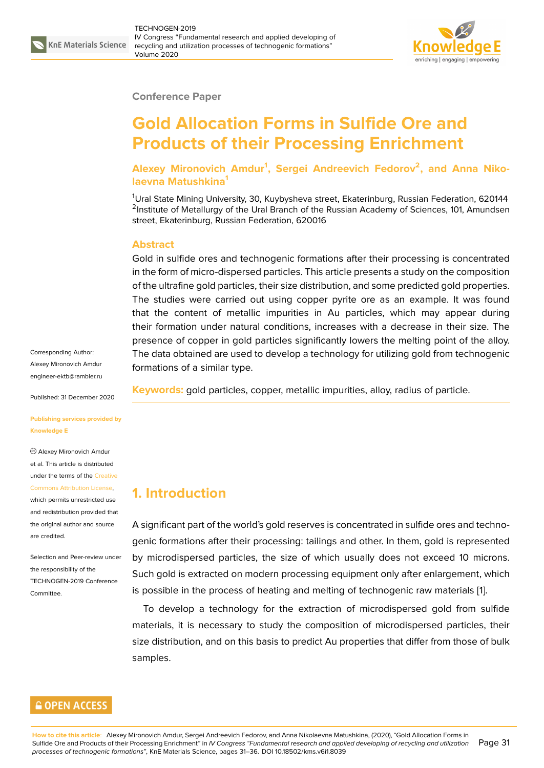

#### **Conference Paper**

# **Gold Allocation Forms in Sulfide Ore and Products of their Processing Enrichment**

**Alexey Mironovich Amdur<sup>1</sup> , Sergei Andreevich Fedorov<sup>2</sup> , and Anna Nikolaevna Matushkina<sup>1</sup>**

<sup>1</sup>Ural State Mining University, 30, Kuybysheva street, Ekaterinburg, Russian Federation, 620144 <sup>2</sup>Institute of Metallurgy of the Ural Branch of the Russian Academy of Sciences, 101, Amundsen street, Ekaterinburg, Russian Federation, 620016

#### **Abstract**

Gold in sulfide ores and technogenic formations after their processing is concentrated in the form of micro-dispersed particles. This article presents a study on the composition of the ultrafine gold particles, their size distribution, and some predicted gold properties. The studies were carried out using copper pyrite ore as an example. It was found that the content of metallic impurities in Au particles, which may appear during their formation under natural conditions, increases with a decrease in their size. The presence of copper in gold particles significantly lowers the melting point of the alloy. The data obtained are used to develop a technology for utilizing gold from technogenic formations of a similar type.

**Keywords:** gold particles, copper, metallic impurities, alloy, radius of particle.

## **1. Introduction**

A significant part of the world's gold reserves is concentrated in sulfide ores and technogenic formations after their processing: tailings and other. In them, gold is represented by microdispersed particles, the size of which usually does not exceed 10 microns. Such gold is extracted on modern processing equipment only after enlargement, which is possible in the process of heating and melting of technogenic raw materials [1].

To develop a technology for the extraction of microdispersed gold from sulfide materials, it is necessary to study the composition of microdispersed particles, their size distribution, and on this basis to predict Au properties that differ from those [o](#page-4-0)f bulk samples.

#### **GOPEN ACCESS**

Corresponding Author: Alexey Mironovich Amdur engineer-ektb@rambler.ru

Published: 31 December 2020

**[Publishing services provid](mailto:engineer-ektb@rambler.ru)ed by Knowledge E**

Alexey Mironovich Amdur et al. This article is distributed under the terms of the Creative Commons Attribution License,

which permits unrestricted use and redistribution provided that the original author and [source](https://creativecommons.org/licenses/by/4.0/) [are credited.](https://creativecommons.org/licenses/by/4.0/)

Selection and Peer-review under the responsibility of the TECHNOGEN-2019 Conference **Committee**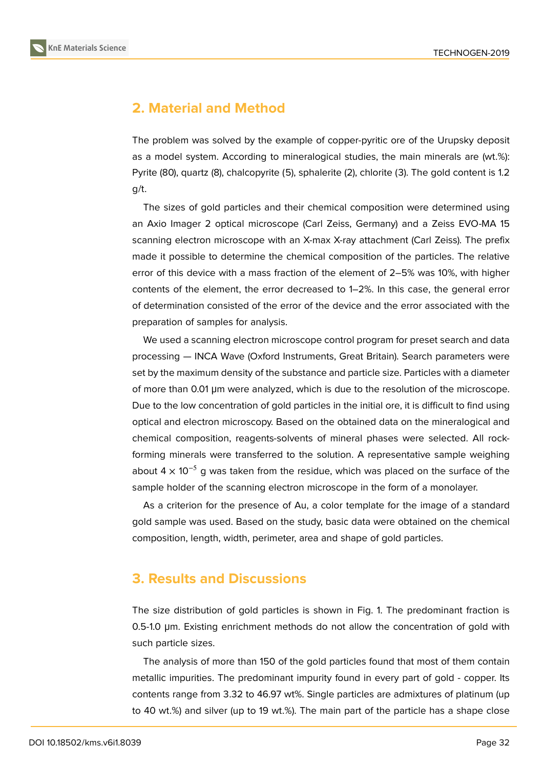

## **2. Material and Method**

The problem was solved by the example of copper-pyritic ore of the Urupsky deposit as a model system. According to mineralogical studies, the main minerals are (wt.%): Pyrite (80), quartz (8), chalcopyrite (5), sphalerite (2), chlorite (3). The gold content is 1.2 g/t.

The sizes of gold particles and their chemical composition were determined using an Axio Imager 2 optical microscope (Carl Zeiss, Germany) and a Zeiss EVO-MA 15 scanning electron microscope with an X-max X-ray attachment (Carl Zeiss). The prefix made it possible to determine the chemical composition of the particles. The relative error of this device with a mass fraction of the element of 2–5% was 10%, with higher contents of the element, the error decreased to 1–2%. In this case, the general error of determination consisted of the error of the device and the error associated with the preparation of samples for analysis.

We used a scanning electron microscope control program for preset search and data processing — INCA Wave (Oxford Instruments, Great Britain). Search parameters were set by the maximum density of the substance and particle size. Particles with a diameter of more than 0.01 μm were analyzed, which is due to the resolution of the microscope. Due to the low concentration of gold particles in the initial ore, it is difficult to find using optical and electron microscopy. Based on the obtained data on the mineralogical and chemical composition, reagents-solvents of mineral phases were selected. All rockforming minerals were transferred to the solution. A representative sample weighing about 4  $\times$  10<sup>-5</sup> g was taken from the residue, which was placed on the surface of the sample holder of the scanning electron microscope in the form of a monolayer.

As a criterion for the presence of Au, a color template for the image of a standard gold sample was used. Based on the study, basic data were obtained on the chemical composition, length, width, perimeter, area and shape of gold particles.

### **3. Results and Discussions**

The size distribution of gold particles is shown in Fig. 1. The predominant fraction is 0.5-1.0 μm. Existing enrichment methods do not allow the concentration of gold with such particle sizes.

The analysis of more than 150 of the gold particles found that most of them contain metallic impurities. The predominant impurity found in every part of gold - copper. Its contents range from 3.32 to 46.97 wt%. Single particles are admixtures of platinum (up to 40 wt.%) and silver (up to 19 wt.%). The main part of the particle has a shape close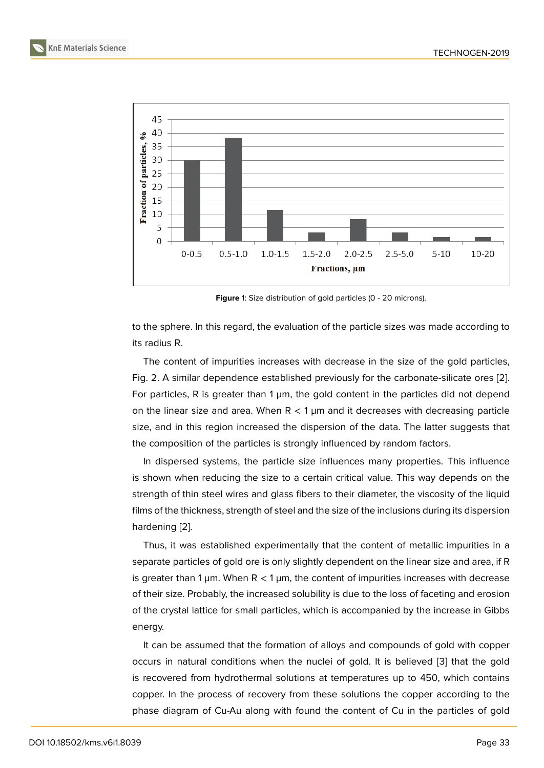

**Figure** 1: Size distribution of gold particles (0 - 20 microns).

to the sphere. In this regard, the evaluation of the particle sizes was made according to its radius R.

The content of impurities increases with decrease in the size of the gold particles, Fig. 2. A similar dependence established previously for the carbonate-silicate ores [2]. For particles, R is greater than  $1 \mu m$ , the gold content in the particles did not depend on the linear size and area. When  $R < 1 \mu m$  and it decreases with decreasing particle size, and in this region increased the dispersion of the data. The latter suggests t[ha](#page-4-1)t the composition of the particles is strongly influenced by random factors.

In dispersed systems, the particle size influences many properties. This influence is shown when reducing the size to a certain critical value. This way depends on the strength of thin steel wires and glass fibers to their diameter, the viscosity of the liquid films of the thickness, strength of steel and the size of the inclusions during its dispersion hardening [2].

Thus, it was established experimentally that the content of metallic impurities in a separate particles of gold ore is only slightly dependent on the linear size and area, if R is greater t[ha](#page-4-1)n 1  $\mu$ m. When R < 1  $\mu$ m, the content of impurities increases with decrease of their size. Probably, the increased solubility is due to the loss of faceting and erosion of the crystal lattice for small particles, which is accompanied by the increase in Gibbs energy.

It can be assumed that the formation of alloys and compounds of gold with copper occurs in natural conditions when the nuclei of gold. It is believed [3] that the gold is recovered from hydrothermal solutions at temperatures up to 450, which contains copper. In the process of recovery from these solutions the copper according to the phase diagram of Cu-Au along with found the content of Cu in the [pa](#page-4-2)rticles of gold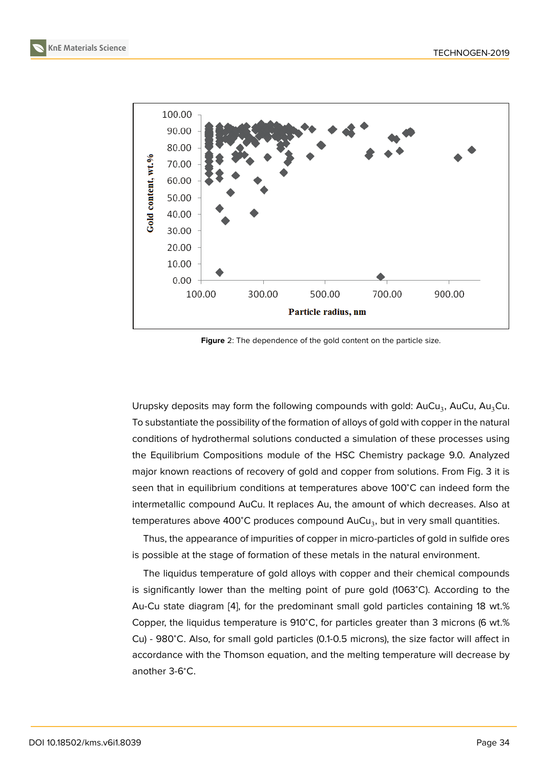

**Figure** 2: The dependence of the gold content on the particle size.

Urupsky deposits may form the following compounds with gold:  $AuCu<sub>3</sub>$ , AuCu, Au<sub>3</sub>Cu. To substantiate the possibility of the formation of alloys of gold with copper in the natural conditions of hydrothermal solutions conducted a simulation of these processes using the Equilibrium Compositions module of the HSC Chemistry package 9.0. Analyzed major known reactions of recovery of gold and copper from solutions. From Fig. 3 it is seen that in equilibrium conditions at temperatures above 100℃ can indeed form the intermetallic compound AuCu. It replaces Au, the amount of which decreases. Also at temperatures above 400°C produces compound  $\mathsf{AuCu}_3$ , but in very small quantities.

Thus, the appearance of impurities of copper in micro-particles of gold in sulfide ores is possible at the stage of formation of these metals in the natural environment.

The liquidus temperature of gold alloys with copper and their chemical compounds is significantly lower than the melting point of pure gold (1063<sup>∘</sup>C). According to the Au-Cu state diagram [4], for the predominant small gold particles containing 18 wt.% Copper, the liquidus temperature is 910<sup>∘</sup>C, for particles greater than 3 microns (6 wt.% Cu) - 980<sup>∘</sup>C. Also, for small gold particles (0.1-0.5 microns), the size factor will affect in accordance with the T[ho](#page-5-0)mson equation, and the melting temperature will decrease by another 3-6<sup>∘</sup>C.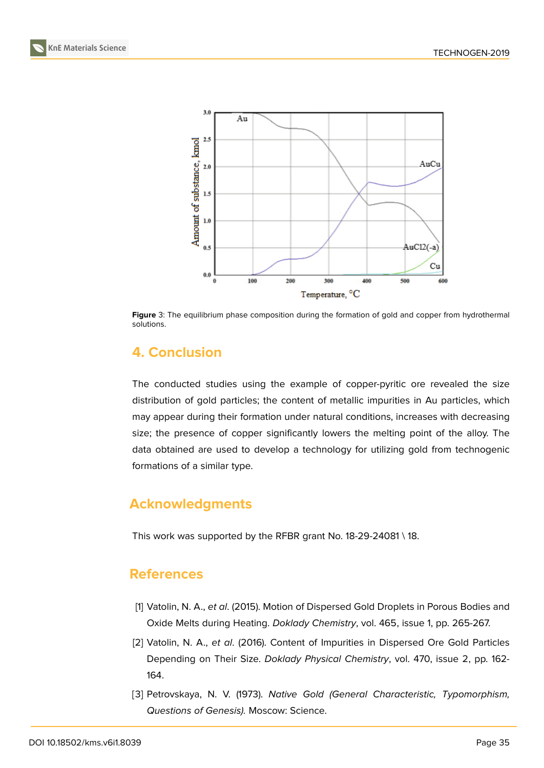



**Figure** 3: The equilibrium phase composition during the formation of gold and copper from hydrothermal solutions.

# **4. Conclusion**

The conducted studies using the example of copper-pyritic ore revealed the size distribution of gold particles; the content of metallic impurities in Au particles, which may appear during their formation under natural conditions, increases with decreasing size; the presence of copper significantly lowers the melting point of the alloy. The data obtained are used to develop a technology for utilizing gold from technogenic formations of a similar type.

# **Acknowledgments**

This work was supported by the RFBR grant No. 18-29-24081 \ 18.

### **References**

- <span id="page-4-0"></span>[1] Vatolin, N. A., *et al*. (2015). Motion of Dispersed Gold Droplets in Porous Bodies and Oxide Melts during Heating. *Doklady Chemistry*, vol. 465, issue 1, pp. 265-267.
- <span id="page-4-1"></span>[2] Vatolin, N. A., *et al*. (2016). Content of Impurities in Dispersed Ore Gold Particles Depending on Their Size. *Doklady Physical Chemistry*, vol. 470, issue 2, pp. 162- 164.
- <span id="page-4-2"></span>[3] Petrovskaya, N. V. (1973). *Native Gold (General Characteristic, Typomorphism, Questions of Genesis).* Moscow: Science.